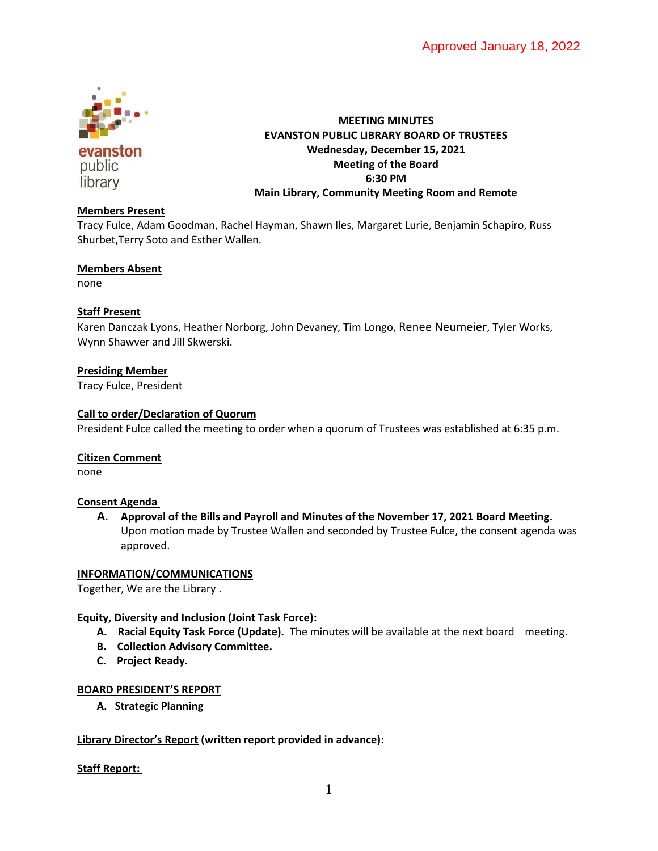

# **MEETING MINUTES EVANSTON PUBLIC LIBRARY BOARD OF TRUSTEES Wednesday, December 15, 2021 Meeting of the Board 6:30 PM Main Library, Community Meeting Room and Remote**

# **Members Present**

Tracy Fulce, Adam Goodman, Rachel Hayman, Shawn Iles, Margaret Lurie, Benjamin Schapiro, Russ Shurbet,Terry Soto and Esther Wallen.

### **Members Absent**

none

### **Staff Present**

Karen Danczak Lyons, Heather Norborg, John Devaney, Tim Longo, Renee Neumeier, Tyler Works, Wynn Shawver and Jill Skwerski.

### **Presiding Member**

Tracy Fulce, President

#### **Call to order/Declaration of Quorum**

President Fulce called the meeting to order when a quorum of Trustees was established at 6:35 p.m.

#### **Citizen Comment**

none

#### **Consent Agenda**

**A. Approval of the Bills and Payroll and Minutes of the November 17, 2021 Board Meeting.**  Upon motion made by Trustee Wallen and seconded by Trustee Fulce, the consent agenda was approved.

#### **INFORMATION/COMMUNICATIONS**

Together, We are the Library .

#### **Equity, Diversity and Inclusion (Joint Task Force):**

- **A. Racial Equity Task Force (Update).** The minutes will be available at the next board meeting.
- **B. Collection Advisory Committee.**
- **C. Project Ready.**

#### **BOARD PRESIDENT'S REPORT**

**A. Strategic Planning**

#### **Library Director's Report (written report provided in advance):**

#### **Staff Report:**